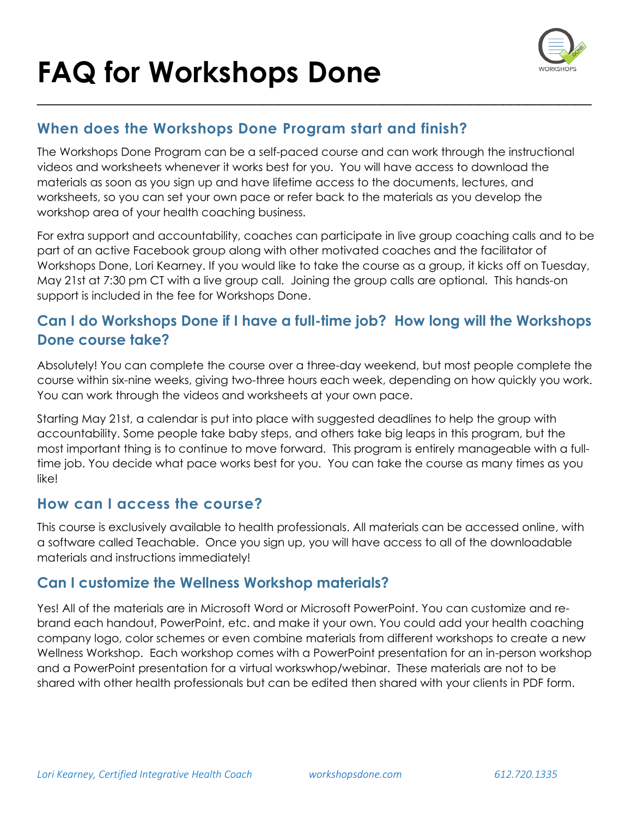

#### **When does the Workshops Done Program start and finish?**

The Workshops Done Program can be a self-paced course and can work through the instructional videos and worksheets whenever it works best for you. You will have access to download the materials as soon as you sign up and have lifetime access to the documents, lectures, and worksheets, so you can set your own pace or refer back to the materials as you develop the workshop area of your health coaching business.

\_\_\_\_\_\_\_\_\_\_\_\_\_\_\_\_\_\_\_\_\_\_\_\_\_\_\_\_\_\_\_\_\_\_\_\_\_\_\_\_\_\_\_\_\_\_\_\_\_\_\_\_\_\_\_\_\_\_\_\_\_\_\_\_\_\_\_\_\_

For extra support and accountability, coaches can participate in live group coaching calls and to be part of an active Facebook group along with other motivated coaches and the facilitator of Workshops Done, Lori Kearney. If you would like to take the course as a group, it kicks off on Tuesday, May 21st at 7:30 pm CT with a live group call. Joining the group calls are optional. This hands-on support is included in the fee for Workshops Done.

#### **Can I do Workshops Done if I have a full-time job? How long will the Workshops Done course take?**

Absolutely! You can complete the course over a three-day weekend, but most people complete the course within six-nine weeks, giving two-three hours each week, depending on how quickly you work. You can work through the videos and worksheets at your own pace.

Starting May 21st, a calendar is put into place with suggested deadlines to help the group with accountability. Some people take baby steps, and others take big leaps in this program, but the most important thing is to continue to move forward. This program is entirely manageable with a fulltime job. You decide what pace works best for you. You can take the course as many times as you like!

#### **How can I access the course?**

This course is exclusively available to health professionals. All materials can be accessed online, with a software called Teachable. Once you sign up, you will have access to all of the downloadable materials and instructions immediately!

#### **Can I customize the Wellness Workshop materials?**

Yes! All of the materials are in Microsoft Word or Microsoft PowerPoint. You can customize and rebrand each handout, PowerPoint, etc. and make it your own. You could add your health coaching company logo, color schemes or even combine materials from different workshops to create a new Wellness Workshop. Each workshop comes with a PowerPoint presentation for an in-person workshop and a PowerPoint presentation for a virtual workswhop/webinar. These materials are not to be shared with other health professionals but can be edited then shared with your clients in PDF form.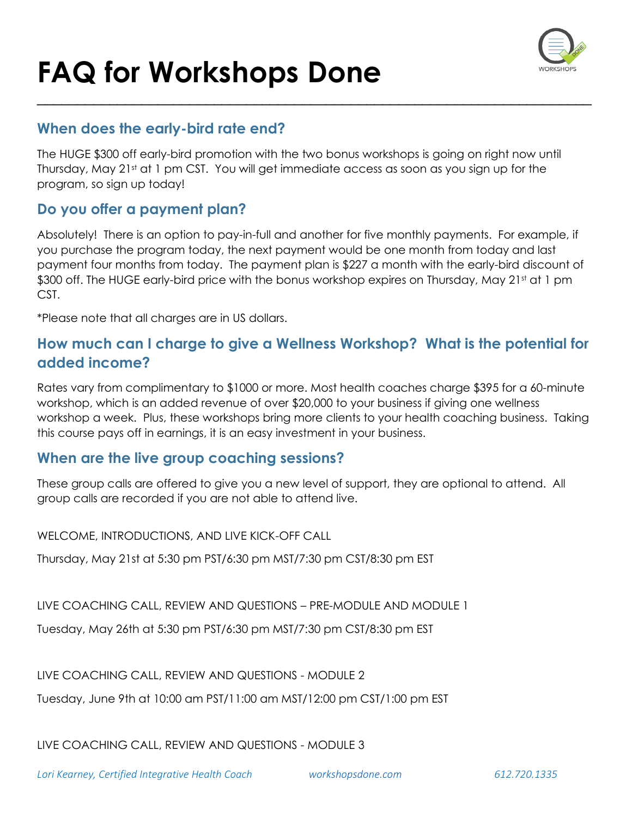

#### **When does the early-bird rate end?**

The HUGE \$300 off early-bird promotion with the two bonus workshops is going on right now until Thursday, May 21st at 1 pm CST. You will get immediate access as soon as you sign up for the program, so sign up today!

\_\_\_\_\_\_\_\_\_\_\_\_\_\_\_\_\_\_\_\_\_\_\_\_\_\_\_\_\_\_\_\_\_\_\_\_\_\_\_\_\_\_\_\_\_\_\_\_\_\_\_\_\_\_\_\_\_\_\_\_\_\_\_\_\_\_\_\_\_

#### **Do you offer a payment plan?**

Absolutely! There is an option to pay-in-full and another for five monthly payments. For example, if you purchase the program today, the next payment would be one month from today and last payment four months from today. The payment plan is \$227 a month with the early-bird discount of \$300 off. The HUGE early-bird price with the bonus workshop expires on Thursday, May 21st at 1 pm CST.

\*Please note that all charges are in US dollars.

#### **How much can I charge to give a Wellness Workshop? What is the potential for added income?**

Rates vary from complimentary to \$1000 or more. Most health coaches charge \$395 for a 60-minute workshop, which is an added revenue of over \$20,000 to your business if giving one wellness workshop a week. Plus, these workshops bring more clients to your health coaching business. Taking this course pays off in earnings, it is an easy investment in your business.

#### **When are the live group coaching sessions?**

These group calls are offered to give you a new level of support, they are optional to attend. All group calls are recorded if you are not able to attend live.

WELCOME, INTRODUCTIONS, AND LIVE KICK-OFF CALL

Thursday, May 21st at 5:30 pm PST/6:30 pm MST/7:30 pm CST/8:30 pm EST

LIVE COACHING CALL, REVIEW AND QUESTIONS – PRE-MODULE AND MODULE 1

Tuesday, May 26th at 5:30 pm PST/6:30 pm MST/7:30 pm CST/8:30 pm EST

LIVE COACHING CALL, REVIEW AND QUESTIONS - MODULE 2

Tuesday, June 9th at 10:00 am PST/11:00 am MST/12:00 pm CST/1:00 pm EST

LIVE COACHING CALL, REVIEW AND QUESTIONS - MODULE 3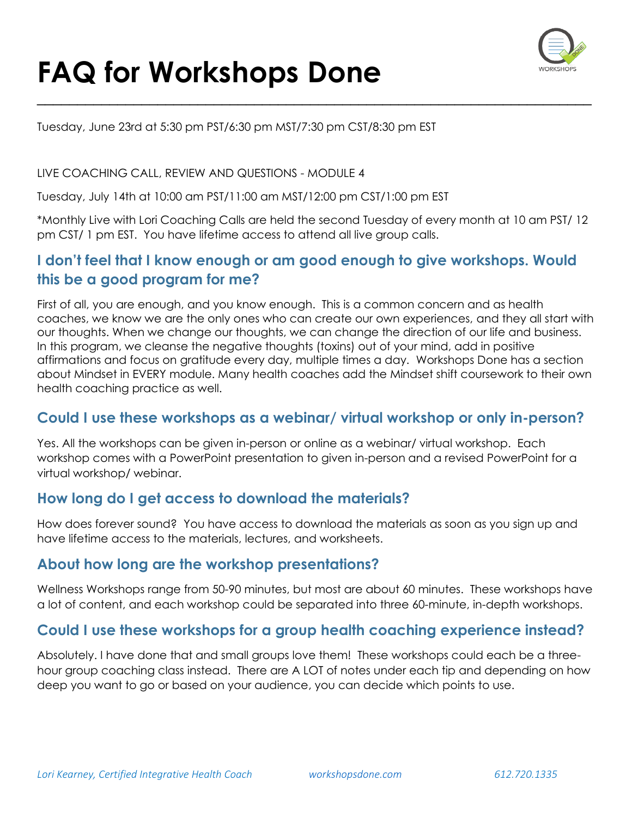

Tuesday, June 23rd at 5:30 pm PST/6:30 pm MST/7:30 pm CST/8:30 pm EST

#### LIVE COACHING CALL, REVIEW AND QUESTIONS - MODULE 4

Tuesday, July 14th at 10:00 am PST/11:00 am MST/12:00 pm CST/1:00 pm EST

\*Monthly Live with Lori Coaching Calls are held the second Tuesday of every month at 10 am PST/ 12 pm CST/ 1 pm EST. You have lifetime access to attend all live group calls.

\_\_\_\_\_\_\_\_\_\_\_\_\_\_\_\_\_\_\_\_\_\_\_\_\_\_\_\_\_\_\_\_\_\_\_\_\_\_\_\_\_\_\_\_\_\_\_\_\_\_\_\_\_\_\_\_\_\_\_\_\_\_\_\_\_\_\_\_\_

#### **I don't feel that I know enough or am good enough to give workshops. Would this be a good program for me?**

First of all, you are enough, and you know enough. This is a common concern and as health coaches, we know we are the only ones who can create our own experiences, and they all start with our thoughts. When we change our thoughts, we can change the direction of our life and business. In this program, we cleanse the negative thoughts (toxins) out of your mind, add in positive affirmations and focus on gratitude every day, multiple times a day. Workshops Done has a section about Mindset in EVERY module. Many health coaches add the Mindset shift coursework to their own health coaching practice as well.

#### **Could I use these workshops as a webinar/ virtual workshop or only in-person?**

Yes. All the workshops can be given in-person or online as a webinar/ virtual workshop. Each workshop comes with a PowerPoint presentation to given in-person and a revised PowerPoint for a virtual workshop/ webinar.

#### **How long do I get access to download the materials?**

How does forever sound? You have access to download the materials as soon as you sign up and have lifetime access to the materials, lectures, and worksheets.

#### **About how long are the workshop presentations?**

Wellness Workshops range from 50-90 minutes, but most are about 60 minutes. These workshops have a lot of content, and each workshop could be separated into three 60-minute, in-depth workshops.

#### **Could I use these workshops for a group health coaching experience instead?**

Absolutely. I have done that and small groups love them! These workshops could each be a threehour group coaching class instead. There are A LOT of notes under each tip and depending on how deep you want to go or based on your audience, you can decide which points to use.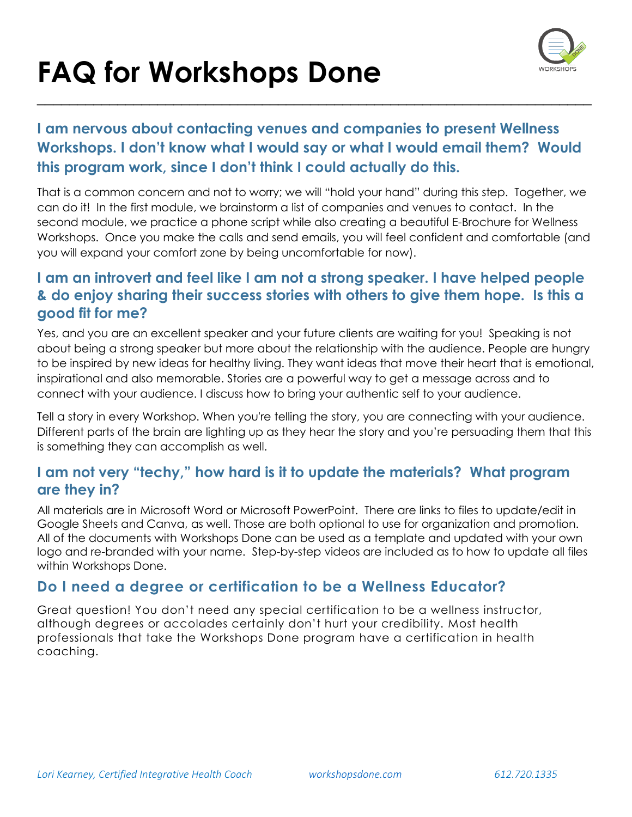

#### **I am nervous about contacting venues and companies to present Wellness Workshops. I don't know what I would say or what I would email them? Would this program work, since I don't think I could actually do this.**

\_\_\_\_\_\_\_\_\_\_\_\_\_\_\_\_\_\_\_\_\_\_\_\_\_\_\_\_\_\_\_\_\_\_\_\_\_\_\_\_\_\_\_\_\_\_\_\_\_\_\_\_\_\_\_\_\_\_\_\_\_\_\_\_\_\_\_\_\_

That is a common concern and not to worry; we will "hold your hand" during this step. Together, we can do it! In the first module, we brainstorm a list of companies and venues to contact. In the second module, we practice a phone script while also creating a beautiful E-Brochure for Wellness Workshops. Once you make the calls and send emails, you will feel confident and comfortable (and you will expand your comfort zone by being uncomfortable for now).

#### **I am an introvert and feel like I am not a strong speaker. I have helped people & do enjoy sharing their success stories with others to give them hope. Is this a good fit for me?**

Yes, and you are an excellent speaker and your future clients are waiting for you! Speaking is not about being a strong speaker but more about the relationship with the audience. People are hungry to be inspired by new ideas for healthy living. They want ideas that move their heart that is emotional, inspirational and also memorable. Stories are a powerful way to get a message across and to connect with your audience. I discuss how to bring your authentic self to your audience.

Tell a story in every Workshop. When you're telling the story, you are connecting with your audience. Different parts of the brain are lighting up as they hear the story and you're persuading them that this is something they can accomplish as well.

#### **I am not very "techy," how hard is it to update the materials? What program are they in?**

All materials are in Microsoft Word or Microsoft PowerPoint. There are links to files to update/edit in Google Sheets and Canva, as well. Those are both optional to use for organization and promotion. All of the documents with Workshops Done can be used as a template and updated with your own logo and re-branded with your name. Step-by-step videos are included as to how to update all files within Workshops Done.

#### **Do I need a degree or certification to be a Wellness Educator?**

Great question! You don't need any special certification to be a wellness instructor, although degrees or accolades certainly don't hurt your credibility. Most health professionals that take the Workshops Done program have a certification in health coaching.